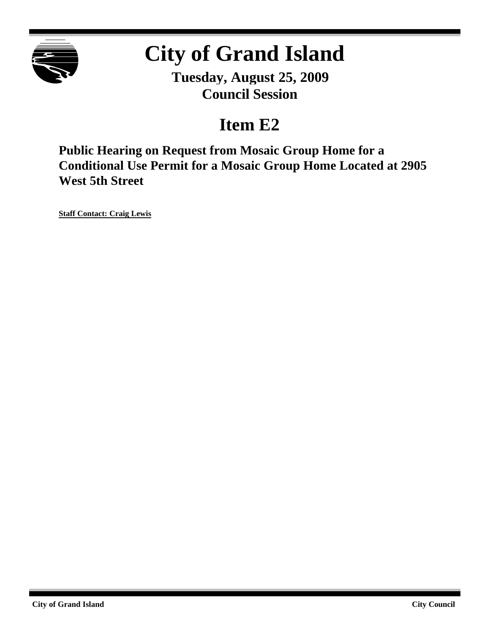

## **City of Grand Island**

**Tuesday, August 25, 2009 Council Session**

### **Item E2**

**Public Hearing on Request from Mosaic Group Home for a Conditional Use Permit for a Mosaic Group Home Located at 2905 West 5th Street**

**Staff Contact: Craig Lewis**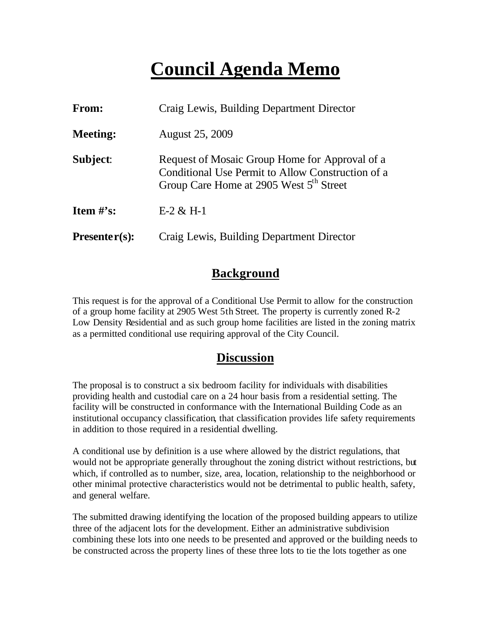## **Council Agenda Memo**

| <b>From:</b>    | Craig Lewis, Building Department Director                                                                                                                  |  |
|-----------------|------------------------------------------------------------------------------------------------------------------------------------------------------------|--|
| <b>Meeting:</b> | <b>August 25, 2009</b>                                                                                                                                     |  |
| Subject:        | Request of Mosaic Group Home for Approval of a<br>Conditional Use Permit to Allow Construction of a<br>Group Care Home at 2905 West 5 <sup>th</sup> Street |  |
| Item $#$ 's:    | $E-2 & H-1$                                                                                                                                                |  |
| $Presenter(s):$ | Craig Lewis, Building Department Director                                                                                                                  |  |

#### **Background**

This request is for the approval of a Conditional Use Permit to allow for the construction of a group home facility at 2905 West 5th Street. The property is currently zoned R-2 Low Density Residential and as such group home facilities are listed in the zoning matrix as a permitted conditional use requiring approval of the City Council.

#### **Discussion**

The proposal is to construct a six bedroom facility for individuals with disabilities providing health and custodial care on a 24 hour basis from a residential setting. The facility will be constructed in conformance with the International Building Code as an institutional occupancy classification, that classification provides life safety requirements in addition to those required in a residential dwelling.

A conditional use by definition is a use where allowed by the district regulations, that would not be appropriate generally throughout the zoning district without restrictions, but which, if controlled as to number, size, area, location, relationship to the neighborhood or other minimal protective characteristics would not be detrimental to public health, safety, and general welfare.

The submitted drawing identifying the location of the proposed building appears to utilize three of the adjacent lots for the development. Either an administrative subdivision combining these lots into one needs to be presented and approved or the building needs to be constructed across the property lines of these three lots to tie the lots together as one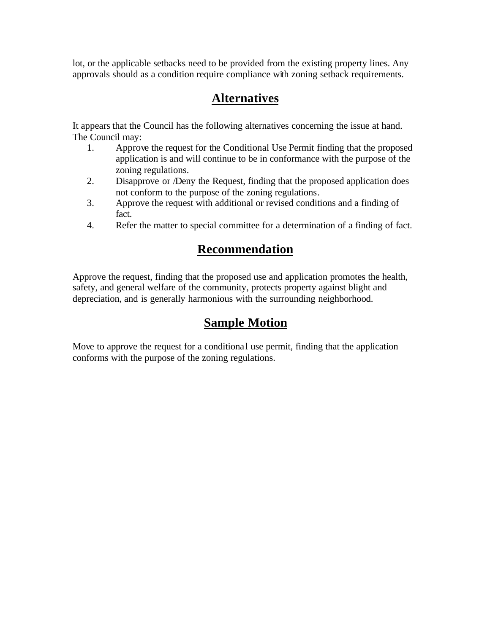lot, or the applicable setbacks need to be provided from the existing property lines. Any approvals should as a condition require compliance with zoning setback requirements.

#### **Alternatives**

It appears that the Council has the following alternatives concerning the issue at hand. The Council may:

- 1. Approve the request for the Conditional Use Permit finding that the proposed application is and will continue to be in conformance with the purpose of the zoning regulations.
- 2. Disapprove or /Deny the Request, finding that the proposed application does not conform to the purpose of the zoning regulations.
- 3. Approve the request with additional or revised conditions and a finding of fact.
- 4. Refer the matter to special committee for a determination of a finding of fact.

#### **Recommendation**

Approve the request, finding that the proposed use and application promotes the health, safety, and general welfare of the community, protects property against blight and depreciation, and is generally harmonious with the surrounding neighborhood.

#### **Sample Motion**

Move to approve the request for a conditional use permit, finding that the application conforms with the purpose of the zoning regulations.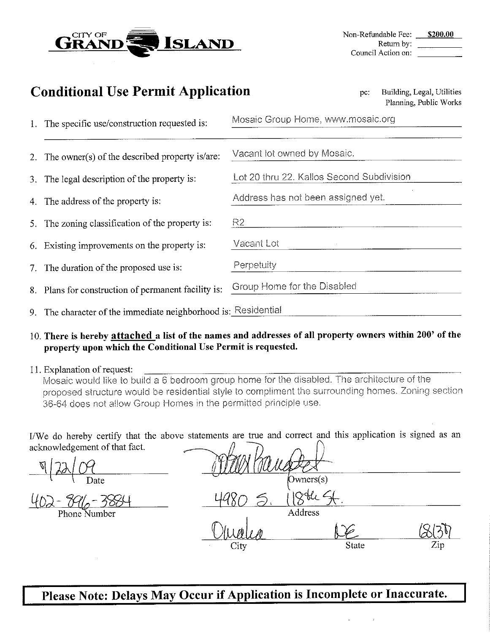

| onditional Use Permit Application<br>Building, Legal, Utilities<br>pc:<br>Planning, Public Works |                                           |  |
|--------------------------------------------------------------------------------------------------|-------------------------------------------|--|
| The specific use/construction requested is:                                                      | Mosaic Group Home, www.mosaic.org         |  |
| The owner(s) of the described property is/are:                                                   | Vacant lot owned by Mosaic.               |  |
| The legal description of the property is:                                                        | Lot 20 thru 22. Kallos Second Subdivision |  |
| The address of the property is:                                                                  | Address has not been assigned yet.        |  |
| The zoning classification of the property is:                                                    | R <sub>2</sub>                            |  |
| Existing improvements on the property is:                                                        | Vacant Lot                                |  |
| The duration of the proposed use is:                                                             | Perpetuity                                |  |
| Plans for construction of permanent facility is:                                                 | Group Home for the Disabled               |  |
| The character of the immediate neighborhood is: Residential                                      |                                           |  |

#### 10. There is hereby attached a list of the names and addresses of all property owners within 200' of the property upon which the Conditional Use Permit is requested.

#### 11. Explanation of request:

 $\mathbf C$ 

1.

 $2.$ 

 $3<sup>1</sup>$ 

 $\overline{4}$ 

5.

6.

 $7<sub>1</sub>$ 

8.

9.

Mosaic would like to build a 6 bedroom group home for the disabled. The architecture of the proposed structure would be residential style to compliment the surrounding homes. Zoning section 36-64 does not allow Group Homes in the permitted principle use.

I/We do hereby certify that the above statements are true and correct and this application is signed as an acknowledgement of that fact.

 $Owners(s)$ Address **State** Zip

Please Note: Delays May Occur if Application is Incomplete or Inaccurate.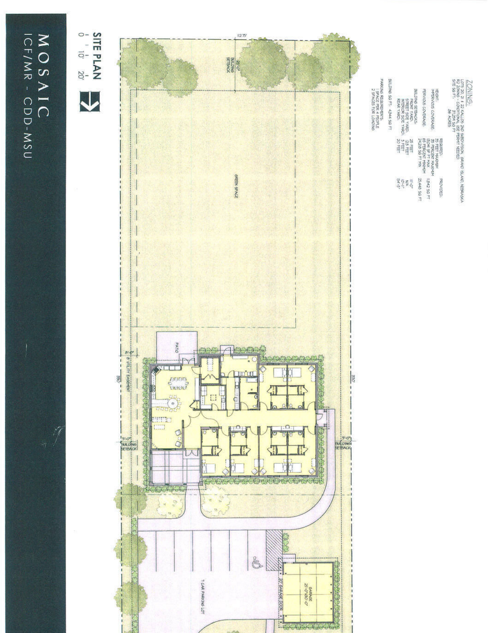# MOSAIC ICF/MR - CDD-MSU

17





 $\frac{2\text{OMING}_2}{\text{MSR}}$  is a pluster and septivisor, search slaves slaves respects to the property of the result of the result of the slaves of the state of the state of the active of the spectra of the spectra of the spectr BILDNG 50 FT: 4344 50 FT BALDANS SERVASS<br>FRONT PARTY AND DISTELL<br>FRONT PARTY DISTELLED<br>INTERNET AND DISTELLED<br>INTERNET PARTY DISTELLED PERVOIS COVERAGE HEBHT:<br>MPERVIOUS COVERAGE. REGISTOR<br>BRITTING MARKET<br>BRITTING HAVING HAVING<br>BRITTING HAVING<br>BRITTING HAVING 12<br>BRITTING SOFT HAV  $\widetilde{\mathcal{E}}\in\mathcal{E}$  of  $\widetilde{\mathcal{E}}$ 25,448 5Q FT TA2 50 FT **PROVIDED**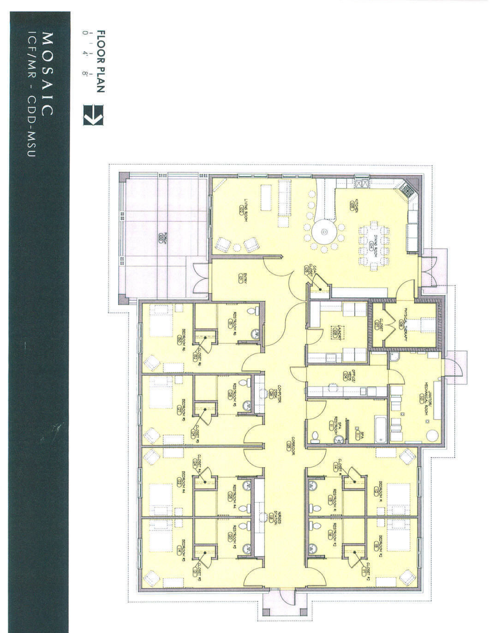# WOSAIC ICF/MR - CDD-MSU



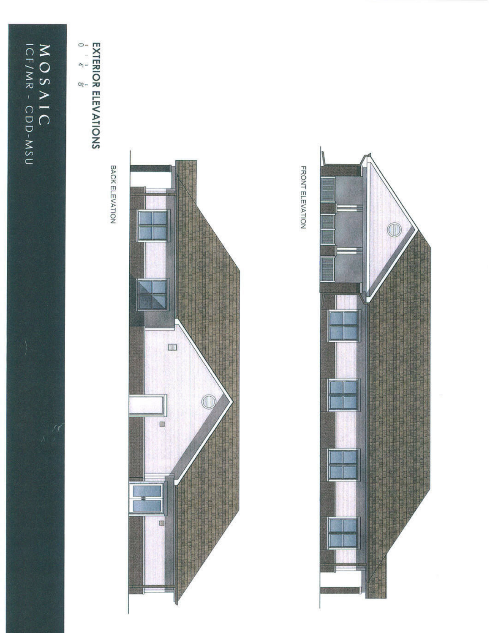

**EXTERIOR ELEVATIONS**<br>  $\frac{1}{6}$   $\frac{1}{4}$   $\frac{1}{8}$ 

BACK ELEVATION



 $\circledcirc$ 

FRONT ELEVATION